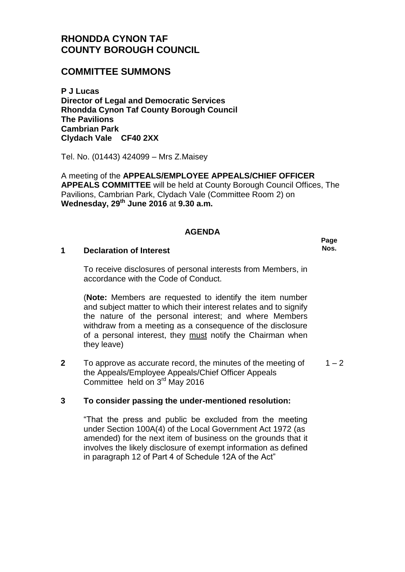# **RHONDDA CYNON TAF COUNTY BOROUGH COUNCIL**

# **COMMITTEE SUMMONS**

**P J Lucas Director of Legal and Democratic Services Rhondda Cynon Taf County Borough Council The Pavilions Cambrian Park Clydach Vale CF40 2XX**

Tel. No. (01443) 424099 – Mrs Z.Maisey

A meeting of the **APPEALS/EMPLOYEE APPEALS/CHIEF OFFICER APPEALS COMMITTEE** will be held at County Borough Council Offices, The Pavilions, Cambrian Park, Clydach Vale (Committee Room 2) on **Wednesday, 29th June 2016** at **9.30 a.m.**

### **AGENDA**

#### **1 Declaration of Interest**

To receive disclosures of personal interests from Members, in accordance with the Code of Conduct.

(**Note:** Members are requested to identify the item number and subject matter to which their interest relates and to signify the nature of the personal interest; and where Members withdraw from a meeting as a consequence of the disclosure of a personal interest, they must notify the Chairman when they leave)

**2** To approve as accurate record, the minutes of the meeting of the Appeals/Employee Appeals/Chief Officer Appeals Committee held on 3<sup>rd</sup> May 2016  $1 - 2$ 

### **3 To consider passing the under-mentioned resolution:**

"That the press and public be excluded from the meeting under Section 100A(4) of the Local Government Act 1972 (as amended) for the next item of business on the grounds that it involves the likely disclosure of exempt information as defined in paragraph 12 of Part 4 of Schedule 12A of the Act"

**Page Nos.**